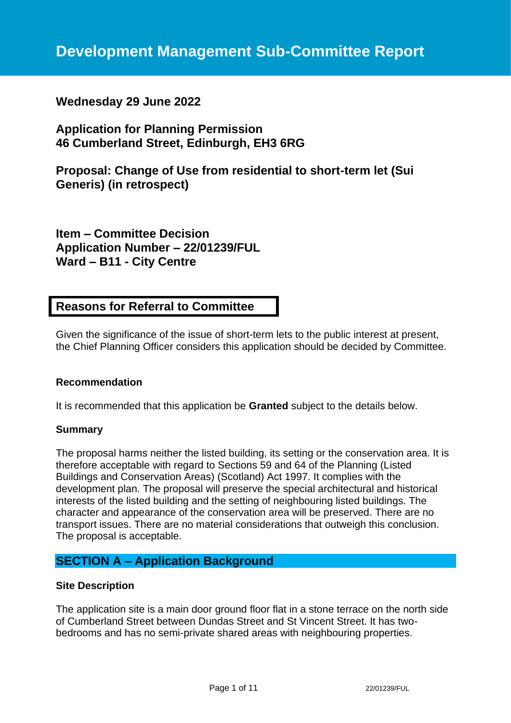# **Wednesday 29 June 2022**

# **Application for Planning Permission 46 Cumberland Street, Edinburgh, EH3 6RG**

**Proposal: Change of Use from residential to short-term let (Sui Generis) (in retrospect)**

**Item – Committee Decision Application Number – 22/01239/FUL Ward – B11 - City Centre**

# **Reasons for Referral to Committee**

Given the significance of the issue of short-term lets to the public interest at present, the Chief Planning Officer considers this application should be decided by Committee.

## **Recommendation**

It is recommended that this application be **Granted** subject to the details below.

#### **Summary**

The proposal harms neither the listed building, its setting or the conservation area. It is therefore acceptable with regard to Sections 59 and 64 of the Planning (Listed Buildings and Conservation Areas) (Scotland) Act 1997. It complies with the development plan. The proposal will preserve the special architectural and historical interests of the listed building and the setting of neighbouring listed buildings. The character and appearance of the conservation area will be preserved. There are no transport issues. There are no material considerations that outweigh this conclusion. The proposal is acceptable.

# **SECTION A – Application Background**

## **Site Description**

The application site is a main door ground floor flat in a stone terrace on the north side of Cumberland Street between Dundas Street and St Vincent Street. It has twobedrooms and has no semi-private shared areas with neighbouring properties.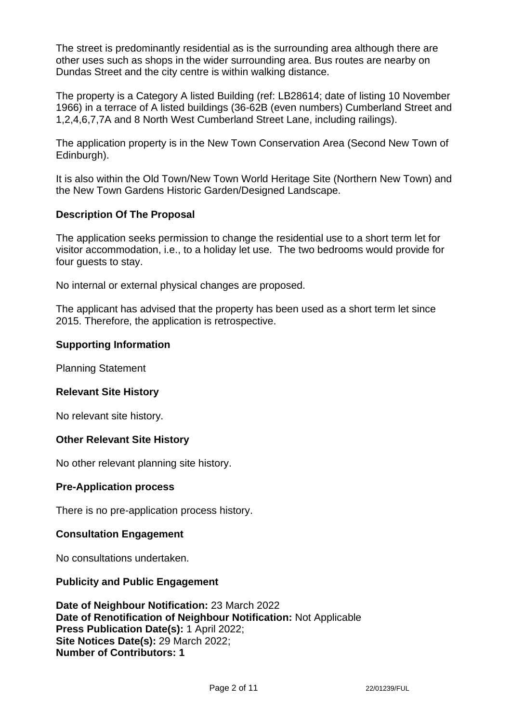The street is predominantly residential as is the surrounding area although there are other uses such as shops in the wider surrounding area. Bus routes are nearby on Dundas Street and the city centre is within walking distance.

The property is a Category A listed Building (ref: LB28614; date of listing 10 November 1966) in a terrace of A listed buildings (36-62B (even numbers) Cumberland Street and 1,2,4,6,7,7A and 8 North West Cumberland Street Lane, including railings).

The application property is in the New Town Conservation Area (Second New Town of Edinburgh).

It is also within the Old Town/New Town World Heritage Site (Northern New Town) and the New Town Gardens Historic Garden/Designed Landscape.

## **Description Of The Proposal**

The application seeks permission to change the residential use to a short term let for visitor accommodation, i.e., to a holiday let use. The two bedrooms would provide for four guests to stay.

No internal or external physical changes are proposed.

The applicant has advised that the property has been used as a short term let since 2015. Therefore, the application is retrospective.

#### **Supporting Information**

Planning Statement

#### **Relevant Site History**

No relevant site history.

## **Other Relevant Site History**

No other relevant planning site history.

#### **Pre-Application process**

There is no pre-application process history.

## **Consultation Engagement**

No consultations undertaken.

#### **Publicity and Public Engagement**

**Date of Neighbour Notification:** 23 March 2022 **Date of Renotification of Neighbour Notification:** Not Applicable **Press Publication Date(s):** 1 April 2022; **Site Notices Date(s):** 29 March 2022; **Number of Contributors: 1**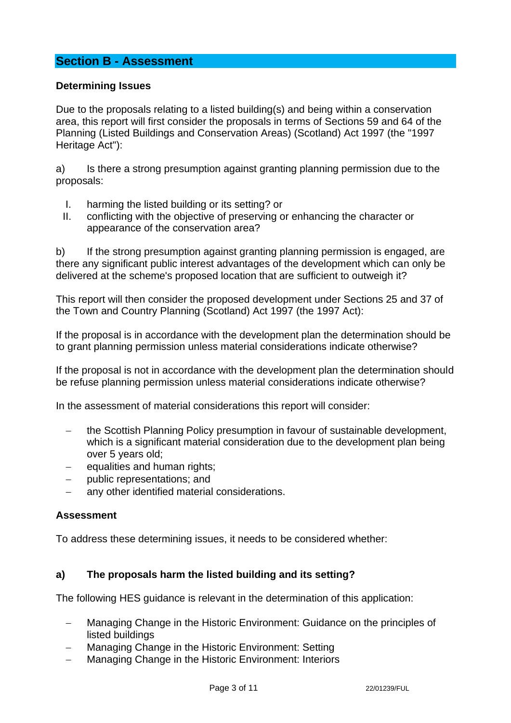# **Section B - Assessment**

#### **Determining Issues**

Due to the proposals relating to a listed building(s) and being within a conservation area, this report will first consider the proposals in terms of Sections 59 and 64 of the Planning (Listed Buildings and Conservation Areas) (Scotland) Act 1997 (the "1997 Heritage Act"):

a) Is there a strong presumption against granting planning permission due to the proposals:

- I. harming the listed building or its setting? or
- II. conflicting with the objective of preserving or enhancing the character or appearance of the conservation area?

b) If the strong presumption against granting planning permission is engaged, are there any significant public interest advantages of the development which can only be delivered at the scheme's proposed location that are sufficient to outweigh it?

This report will then consider the proposed development under Sections 25 and 37 of the Town and Country Planning (Scotland) Act 1997 (the 1997 Act):

If the proposal is in accordance with the development plan the determination should be to grant planning permission unless material considerations indicate otherwise?

If the proposal is not in accordance with the development plan the determination should be refuse planning permission unless material considerations indicate otherwise?

In the assessment of material considerations this report will consider:

- − the Scottish Planning Policy presumption in favour of sustainable development, which is a significant material consideration due to the development plan being over 5 years old;
- − equalities and human rights;
- public representations; and
- any other identified material considerations.

#### **Assessment**

To address these determining issues, it needs to be considered whether:

#### **a) The proposals harm the listed building and its setting?**

The following HES guidance is relevant in the determination of this application:

- Managing Change in the Historic Environment: Guidance on the principles of listed buildings
- Managing Change in the Historic Environment: Setting
- Managing Change in the Historic Environment: Interiors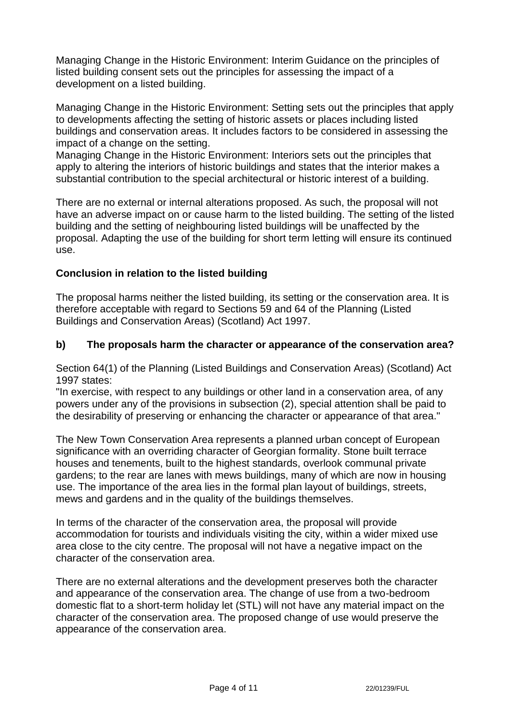Managing Change in the Historic Environment: Interim Guidance on the principles of listed building consent sets out the principles for assessing the impact of a development on a listed building.

Managing Change in the Historic Environment: Setting sets out the principles that apply to developments affecting the setting of historic assets or places including listed buildings and conservation areas. It includes factors to be considered in assessing the impact of a change on the setting.

Managing Change in the Historic Environment: Interiors sets out the principles that apply to altering the interiors of historic buildings and states that the interior makes a substantial contribution to the special architectural or historic interest of a building.

There are no external or internal alterations proposed. As such, the proposal will not have an adverse impact on or cause harm to the listed building. The setting of the listed building and the setting of neighbouring listed buildings will be unaffected by the proposal. Adapting the use of the building for short term letting will ensure its continued use.

## **Conclusion in relation to the listed building**

The proposal harms neither the listed building, its setting or the conservation area. It is therefore acceptable with regard to Sections 59 and 64 of the Planning (Listed Buildings and Conservation Areas) (Scotland) Act 1997.

## **b) The proposals harm the character or appearance of the conservation area?**

Section 64(1) of the Planning (Listed Buildings and Conservation Areas) (Scotland) Act 1997 states:

"In exercise, with respect to any buildings or other land in a conservation area, of any powers under any of the provisions in subsection (2), special attention shall be paid to the desirability of preserving or enhancing the character or appearance of that area."

The New Town Conservation Area represents a planned urban concept of European significance with an overriding character of Georgian formality. Stone built terrace houses and tenements, built to the highest standards, overlook communal private gardens; to the rear are lanes with mews buildings, many of which are now in housing use. The importance of the area lies in the formal plan layout of buildings, streets, mews and gardens and in the quality of the buildings themselves.

In terms of the character of the conservation area, the proposal will provide accommodation for tourists and individuals visiting the city, within a wider mixed use area close to the city centre. The proposal will not have a negative impact on the character of the conservation area.

There are no external alterations and the development preserves both the character and appearance of the conservation area. The change of use from a two-bedroom domestic flat to a short-term holiday let (STL) will not have any material impact on the character of the conservation area. The proposed change of use would preserve the appearance of the conservation area.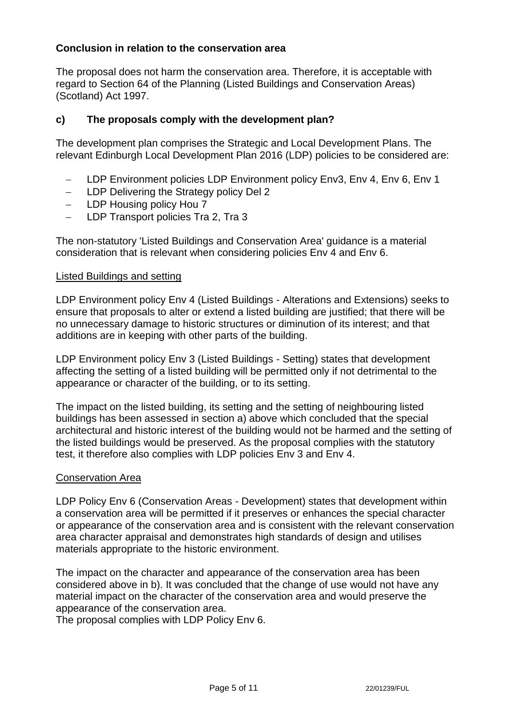## **Conclusion in relation to the conservation area**

The proposal does not harm the conservation area. Therefore, it is acceptable with regard to Section 64 of the Planning (Listed Buildings and Conservation Areas) (Scotland) Act 1997.

## **c) The proposals comply with the development plan?**

The development plan comprises the Strategic and Local Development Plans. The relevant Edinburgh Local Development Plan 2016 (LDP) policies to be considered are:

- − LDP Environment policies LDP Environment policy Env3, Env 4, Env 6, Env 1
- − LDP Delivering the Strategy policy Del 2
- − LDP Housing policy Hou 7
- − LDP Transport policies Tra 2, Tra 3

The non-statutory 'Listed Buildings and Conservation Area' guidance is a material consideration that is relevant when considering policies Env 4 and Env 6.

#### Listed Buildings and setting

LDP Environment policy Env 4 (Listed Buildings - Alterations and Extensions) seeks to ensure that proposals to alter or extend a listed building are justified; that there will be no unnecessary damage to historic structures or diminution of its interest; and that additions are in keeping with other parts of the building.

LDP Environment policy Env 3 (Listed Buildings - Setting) states that development affecting the setting of a listed building will be permitted only if not detrimental to the appearance or character of the building, or to its setting.

The impact on the listed building, its setting and the setting of neighbouring listed buildings has been assessed in section a) above which concluded that the special architectural and historic interest of the building would not be harmed and the setting of the listed buildings would be preserved. As the proposal complies with the statutory test, it therefore also complies with LDP policies Env 3 and Env 4.

## Conservation Area

LDP Policy Env 6 (Conservation Areas - Development) states that development within a conservation area will be permitted if it preserves or enhances the special character or appearance of the conservation area and is consistent with the relevant conservation area character appraisal and demonstrates high standards of design and utilises materials appropriate to the historic environment.

The impact on the character and appearance of the conservation area has been considered above in b). It was concluded that the change of use would not have any material impact on the character of the conservation area and would preserve the appearance of the conservation area.

The proposal complies with LDP Policy Env 6.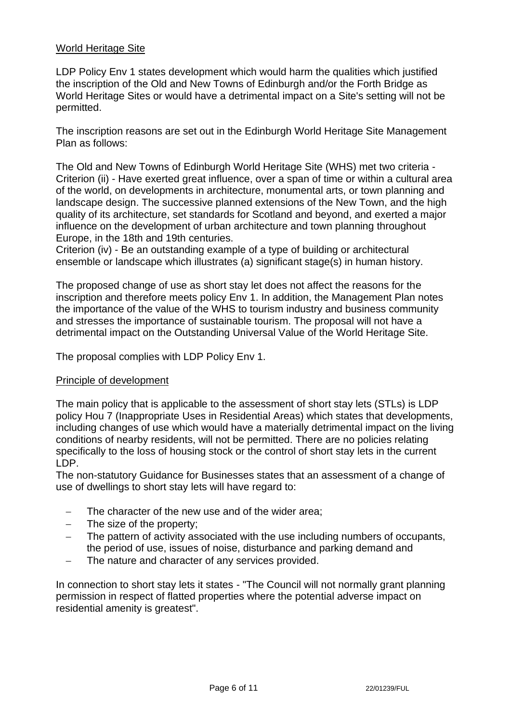## World Heritage Site

LDP Policy Env 1 states development which would harm the qualities which justified the inscription of the Old and New Towns of Edinburgh and/or the Forth Bridge as World Heritage Sites or would have a detrimental impact on a Site's setting will not be permitted.

The inscription reasons are set out in the Edinburgh World Heritage Site Management Plan as follows:

The Old and New Towns of Edinburgh World Heritage Site (WHS) met two criteria - Criterion (ii) - Have exerted great influence, over a span of time or within a cultural area of the world, on developments in architecture, monumental arts, or town planning and landscape design. The successive planned extensions of the New Town, and the high quality of its architecture, set standards for Scotland and beyond, and exerted a major influence on the development of urban architecture and town planning throughout Europe, in the 18th and 19th centuries.

Criterion (iv) - Be an outstanding example of a type of building or architectural ensemble or landscape which illustrates (a) significant stage(s) in human history.

The proposed change of use as short stay let does not affect the reasons for the inscription and therefore meets policy Env 1. In addition, the Management Plan notes the importance of the value of the WHS to tourism industry and business community and stresses the importance of sustainable tourism. The proposal will not have a detrimental impact on the Outstanding Universal Value of the World Heritage Site.

The proposal complies with LDP Policy Env 1.

## Principle of development

The main policy that is applicable to the assessment of short stay lets (STLs) is LDP policy Hou 7 (Inappropriate Uses in Residential Areas) which states that developments, including changes of use which would have a materially detrimental impact on the living conditions of nearby residents, will not be permitted. There are no policies relating specifically to the loss of housing stock or the control of short stay lets in the current LDP.

The non-statutory Guidance for Businesses states that an assessment of a change of use of dwellings to short stay lets will have regard to:

- The character of the new use and of the wider area;
- − The size of the property;
- − The pattern of activity associated with the use including numbers of occupants, the period of use, issues of noise, disturbance and parking demand and
- − The nature and character of any services provided.

In connection to short stay lets it states - "The Council will not normally grant planning permission in respect of flatted properties where the potential adverse impact on residential amenity is greatest".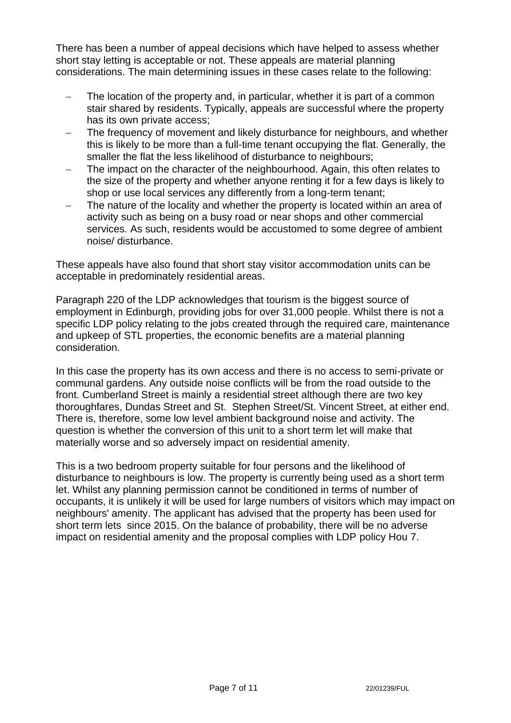There has been a number of appeal decisions which have helped to assess whether short stay letting is acceptable or not. These appeals are material planning considerations. The main determining issues in these cases relate to the following:

- The location of the property and, in particular, whether it is part of a common stair shared by residents. Typically, appeals are successful where the property has its own private access;
- The frequency of movement and likely disturbance for neighbours, and whether this is likely to be more than a full-time tenant occupying the flat. Generally, the smaller the flat the less likelihood of disturbance to neighbours;
- The impact on the character of the neighbourhood. Again, this often relates to the size of the property and whether anyone renting it for a few days is likely to shop or use local services any differently from a long-term tenant;
- The nature of the locality and whether the property is located within an area of activity such as being on a busy road or near shops and other commercial services. As such, residents would be accustomed to some degree of ambient noise/ disturbance.

These appeals have also found that short stay visitor accommodation units can be acceptable in predominately residential areas.

Paragraph 220 of the LDP acknowledges that tourism is the biggest source of employment in Edinburgh, providing jobs for over 31,000 people. Whilst there is not a specific LDP policy relating to the jobs created through the required care, maintenance and upkeep of STL properties, the economic benefits are a material planning consideration.

In this case the property has its own access and there is no access to semi-private or communal gardens. Any outside noise conflicts will be from the road outside to the front. Cumberland Street is mainly a residential street although there are two key thoroughfares, Dundas Street and St. Stephen Street/St. Vincent Street, at either end. There is, therefore, some low level ambient background noise and activity. The question is whether the conversion of this unit to a short term let will make that materially worse and so adversely impact on residential amenity.

This is a two bedroom property suitable for four persons and the likelihood of disturbance to neighbours is low. The property is currently being used as a short term let. Whilst any planning permission cannot be conditioned in terms of number of occupants, it is unlikely it will be used for large numbers of visitors which may impact on neighbours' amenity. The applicant has advised that the property has been used for short term lets since 2015. On the balance of probability, there will be no adverse impact on residential amenity and the proposal complies with LDP policy Hou 7.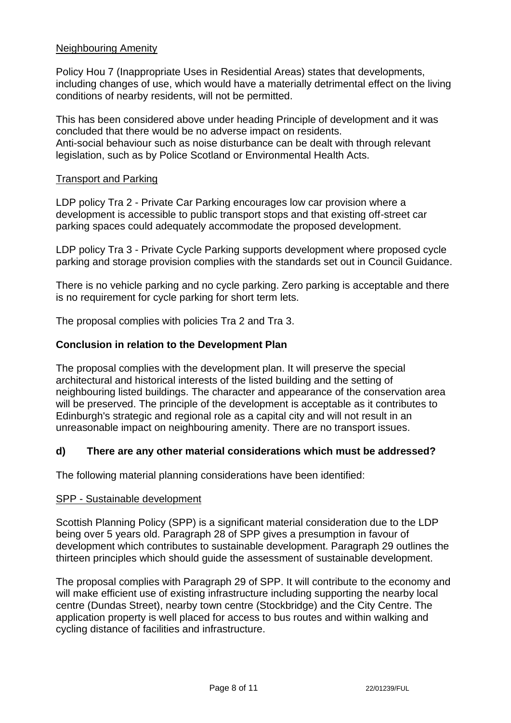## Neighbouring Amenity

Policy Hou 7 (Inappropriate Uses in Residential Areas) states that developments, including changes of use, which would have a materially detrimental effect on the living conditions of nearby residents, will not be permitted.

This has been considered above under heading Principle of development and it was concluded that there would be no adverse impact on residents. Anti-social behaviour such as noise disturbance can be dealt with through relevant legislation, such as by Police Scotland or Environmental Health Acts.

#### Transport and Parking

LDP policy Tra 2 - Private Car Parking encourages low car provision where a development is accessible to public transport stops and that existing off-street car parking spaces could adequately accommodate the proposed development.

LDP policy Tra 3 - Private Cycle Parking supports development where proposed cycle parking and storage provision complies with the standards set out in Council Guidance.

There is no vehicle parking and no cycle parking. Zero parking is acceptable and there is no requirement for cycle parking for short term lets.

The proposal complies with policies Tra 2 and Tra 3.

## **Conclusion in relation to the Development Plan**

The proposal complies with the development plan. It will preserve the special architectural and historical interests of the listed building and the setting of neighbouring listed buildings. The character and appearance of the conservation area will be preserved. The principle of the development is acceptable as it contributes to Edinburgh's strategic and regional role as a capital city and will not result in an unreasonable impact on neighbouring amenity. There are no transport issues.

## **d) There are any other material considerations which must be addressed?**

The following material planning considerations have been identified:

#### SPP - Sustainable development

Scottish Planning Policy (SPP) is a significant material consideration due to the LDP being over 5 years old. Paragraph 28 of SPP gives a presumption in favour of development which contributes to sustainable development. Paragraph 29 outlines the thirteen principles which should guide the assessment of sustainable development.

The proposal complies with Paragraph 29 of SPP. It will contribute to the economy and will make efficient use of existing infrastructure including supporting the nearby local centre (Dundas Street), nearby town centre (Stockbridge) and the City Centre. The application property is well placed for access to bus routes and within walking and cycling distance of facilities and infrastructure.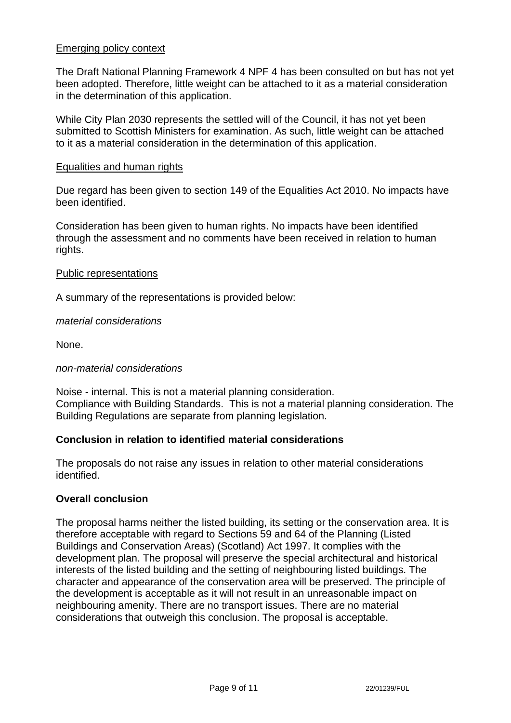## Emerging policy context

The Draft National Planning Framework 4 NPF 4 has been consulted on but has not yet been adopted. Therefore, little weight can be attached to it as a material consideration in the determination of this application.

While City Plan 2030 represents the settled will of the Council, it has not yet been submitted to Scottish Ministers for examination. As such, little weight can be attached to it as a material consideration in the determination of this application.

#### Equalities and human rights

Due regard has been given to section 149 of the Equalities Act 2010. No impacts have been identified.

Consideration has been given to human rights. No impacts have been identified through the assessment and no comments have been received in relation to human rights.

#### Public representations

A summary of the representations is provided below:

#### *material considerations*

None.

#### *non-material considerations*

Noise - internal. This is not a material planning consideration. Compliance with Building Standards. This is not a material planning consideration. The Building Regulations are separate from planning legislation.

## **Conclusion in relation to identified material considerations**

The proposals do not raise any issues in relation to other material considerations identified.

#### **Overall conclusion**

The proposal harms neither the listed building, its setting or the conservation area. It is therefore acceptable with regard to Sections 59 and 64 of the Planning (Listed Buildings and Conservation Areas) (Scotland) Act 1997. It complies with the development plan. The proposal will preserve the special architectural and historical interests of the listed building and the setting of neighbouring listed buildings. The character and appearance of the conservation area will be preserved. The principle of the development is acceptable as it will not result in an unreasonable impact on neighbouring amenity. There are no transport issues. There are no material considerations that outweigh this conclusion. The proposal is acceptable.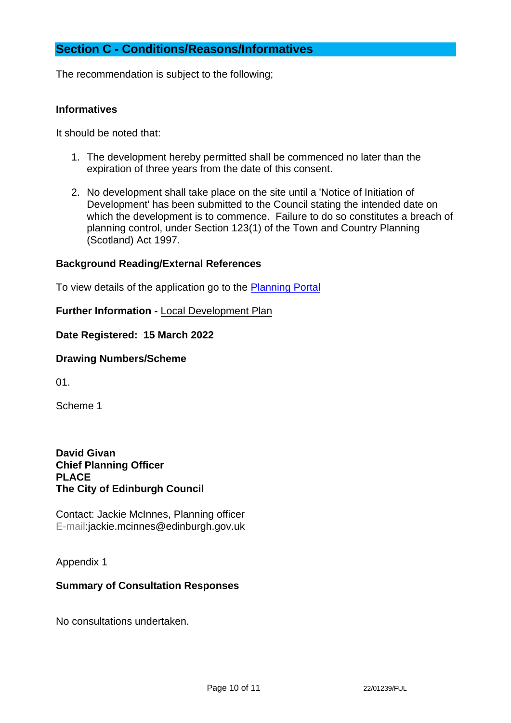# **Section C - Conditions/Reasons/Informatives**

The recommendation is subject to the following;

## **Informatives**

It should be noted that:

- 1. The development hereby permitted shall be commenced no later than the expiration of three years from the date of this consent.
- 2. No development shall take place on the site until a 'Notice of Initiation of Development' has been submitted to the Council stating the intended date on which the development is to commence. Failure to do so constitutes a breach of planning control, under Section 123(1) of the Town and Country Planning (Scotland) Act 1997.

#### **Background Reading/External References**

To view details of the application go to the [Planning Portal](https://citydev-portal.edinburgh.gov.uk/idoxpa-web/applicationDetails.do?activeTab=summary&keyVal=R8S2BFEWLR200)

**Further Information -** [Local Development Plan](https://www.edinburgh.gov.uk/local-development-plan-guidance-1/edinburgh-local-development-plan/1)

**Date Registered: 15 March 2022**

#### **Drawing Numbers/Scheme**

01.

Scheme 1

**David Givan Chief Planning Officer PLACE The City of Edinburgh Council**

Contact: Jackie McInnes, Planning officer E-mail:jackie.mcinnes@edinburgh.gov.uk

#### Appendix 1

## **Summary of Consultation Responses**

No consultations undertaken.